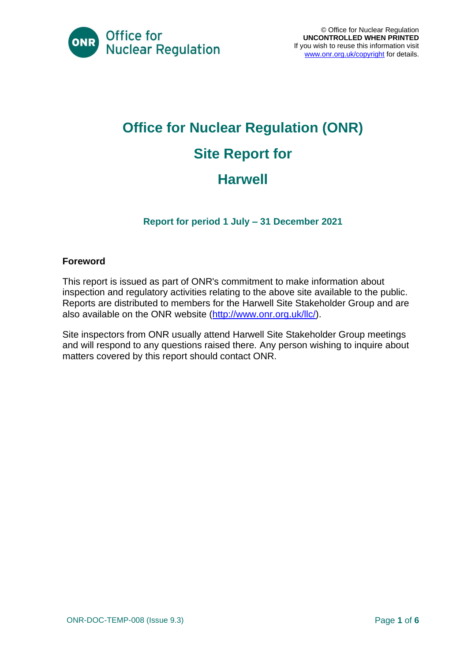

## **Office for Nuclear Regulation (ONR) Site Report for Harwell**

**Report for period 1 July – 31 December 2021**

#### **Foreword**

This report is issued as part of ONR's commitment to make information about inspection and regulatory activities relating to the above site available to the public. Reports are distributed to members for the Harwell Site Stakeholder Group and are also available on the ONR website [\(http://www.onr.org.uk/llc/\)](http://www.onr.org.uk/llc/).

Site inspectors from ONR usually attend Harwell Site Stakeholder Group meetings and will respond to any questions raised there. Any person wishing to inquire about matters covered by this report should contact ONR.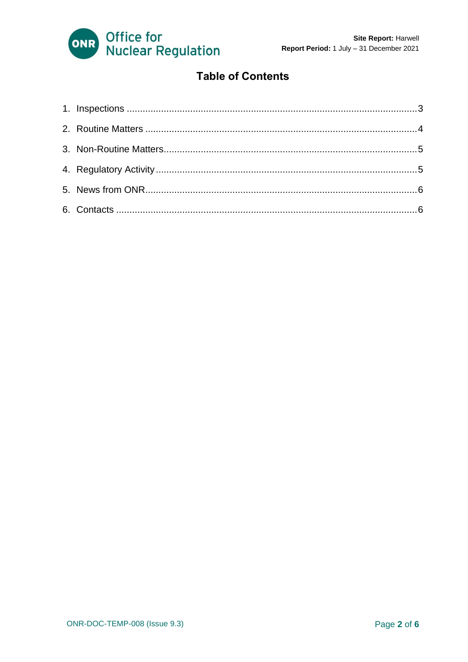

#### **Table of Contents**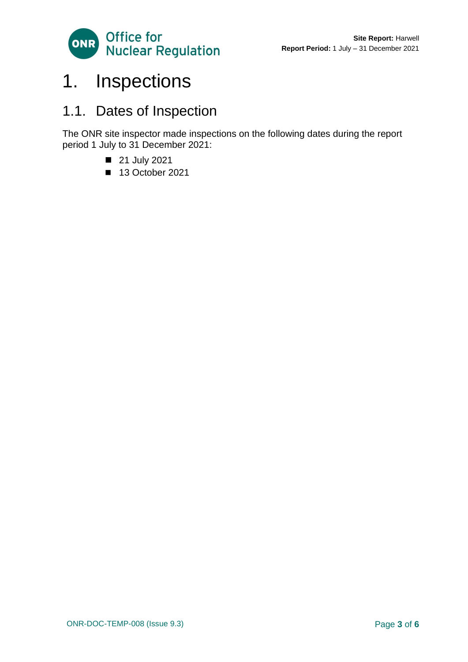

### <span id="page-2-0"></span>1. Inspections

### 1.1. Dates of Inspection

The ONR site inspector made inspections on the following dates during the report period 1 July to 31 December 2021:

- 21 July 2021
- <span id="page-2-1"></span>■ 13 October 2021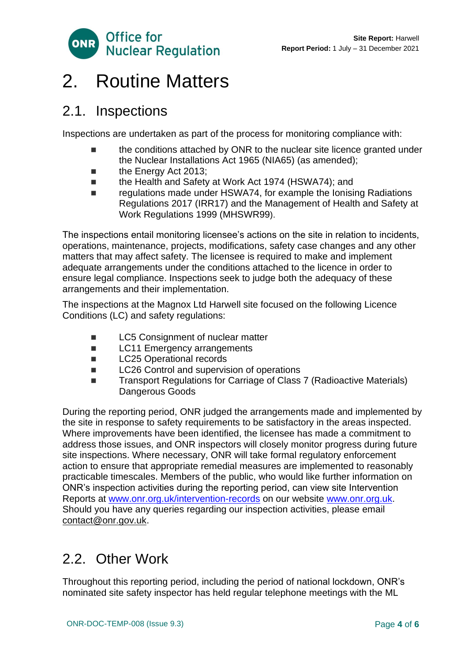

### 2. Routine Matters

#### 2.1. Inspections

Inspections are undertaken as part of the process for monitoring compliance with:

- the conditions attached by ONR to the nuclear site licence granted under the Nuclear Installations Act 1965 (NIA65) (as amended);
- the Energy Act 2013;
- the Health and Safety at Work Act 1974 (HSWA74); and
- regulations made under HSWA74, for example the Ionising Radiations Regulations 2017 (IRR17) and the Management of Health and Safety at Work Regulations 1999 (MHSWR99).

The inspections entail monitoring licensee's actions on the site in relation to incidents, operations, maintenance, projects, modifications, safety case changes and any other matters that may affect safety. The licensee is required to make and implement adequate arrangements under the conditions attached to the licence in order to ensure legal compliance. Inspections seek to judge both the adequacy of these arrangements and their implementation.

The inspections at the Magnox Ltd Harwell site focused on the following Licence Conditions (LC) and safety regulations:

- LC5 Consignment of nuclear matter
- LC11 Emergency arrangements
- LC25 Operational records
- LC26 Control and supervision of operations
- Transport Regulations for Carriage of Class 7 (Radioactive Materials) Dangerous Goods

During the reporting period, ONR judged the arrangements made and implemented by the site in response to safety requirements to be satisfactory in the areas inspected. Where improvements have been identified, the licensee has made a commitment to address those issues, and ONR inspectors will closely monitor progress during future site inspections. Where necessary, ONR will take formal regulatory enforcement action to ensure that appropriate remedial measures are implemented to reasonably practicable timescales. Members of the public, who would like further information on ONR's inspection activities during the reporting period, can view site Intervention Reports at [www.onr.org.uk/intervention-records](http://www.onr.org.uk./intervention-records) on our website [www.onr.org.uk.](http://www.onr.org.uk/) Should you have any queries regarding our inspection activities, please email [contact@onr.gov.uk.](mailto:contact@onr.gov.uk)

### 2.2. Other Work

Throughout this reporting period, including the period of national lockdown, ONR's nominated site safety inspector has held regular telephone meetings with the ML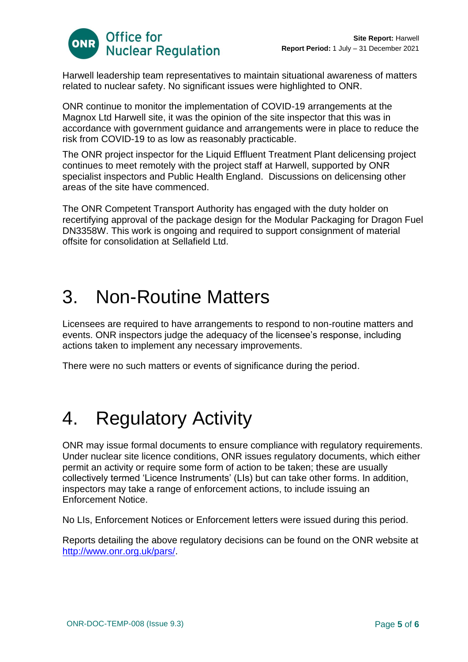

Harwell leadership team representatives to maintain situational awareness of matters related to nuclear safety. No significant issues were highlighted to ONR.

ONR continue to monitor the implementation of COVID-19 arrangements at the Magnox Ltd Harwell site, it was the opinion of the site inspector that this was in accordance with government guidance and arrangements were in place to reduce the risk from COVID-19 to as low as reasonably practicable.

The ONR project inspector for the Liquid Effluent Treatment Plant delicensing project continues to meet remotely with the project staff at Harwell, supported by ONR specialist inspectors and Public Health England. Discussions on delicensing other areas of the site have commenced.

The ONR Competent Transport Authority has engaged with the duty holder on recertifying approval of the package design for the Modular Packaging for Dragon Fuel DN3358W. This work is ongoing and required to support consignment of material offsite for consolidation at Sellafield Ltd.

### <span id="page-4-0"></span>3. Non-Routine Matters

Licensees are required to have arrangements to respond to non-routine matters and events. ONR inspectors judge the adequacy of the licensee's response, including actions taken to implement any necessary improvements.

There were no such matters or events of significance during the period.

# <span id="page-4-1"></span>4. Regulatory Activity

ONR may issue formal documents to ensure compliance with regulatory requirements. Under nuclear site licence conditions, ONR issues regulatory documents, which either permit an activity or require some form of action to be taken; these are usually collectively termed 'Licence Instruments' (LIs) but can take other forms. In addition, inspectors may take a range of enforcement actions, to include issuing an Enforcement Notice.

No LIs, Enforcement Notices or Enforcement letters were issued during this period.

Reports detailing the above regulatory decisions can be found on the ONR website at [http://www.onr.org.uk/pars/.](http://www.onr.org.uk/pars/)